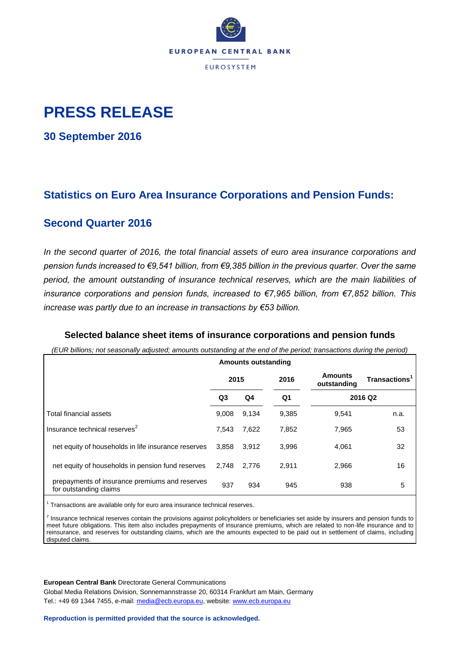

## **PRESS RELEASE**

**30 September 2016**

## **Statistics on Euro Area Insurance Corporations and Pension Funds:**

### **Second Quarter 2016**

*In the second quarter of 2016, the total financial assets of euro area insurance corporations and pension funds increased to €9,541 billion, from €9,385 billion in the previous quarter. Over the same period, the amount outstanding of insurance technical reserves, which are the main liabilities of insurance corporations and pension funds, increased to €7,965 billion, from €7,852 billion. This increase was partly due to an increase in transactions by €53 billion.*

### **Selected balance sheet items of insurance corporations and pension funds**

*(EUR billions; not seasonally adjusted; amounts outstanding at the end of the period; transactions during the period)*

|                                                                          |       | <b>Amounts outstanding</b> |       |                               |                     |
|--------------------------------------------------------------------------|-------|----------------------------|-------|-------------------------------|---------------------|
|                                                                          | 2015  |                            | 2016  | <b>Amounts</b><br>outstanding | <b>Transactions</b> |
|                                                                          | Q3    | Q4                         | Q1    | 2016 Q2                       |                     |
| Total financial assets                                                   | 9.008 | 9,134                      | 9,385 | 9,541                         | n.a.                |
| Insurance technical reserves <sup>2</sup>                                | 7.543 | 7,622                      | 7,852 | 7,965                         | 53                  |
| net equity of households in life insurance reserves                      | 3.858 | 3.912                      | 3,996 | 4,061                         | 32                  |
| net equity of households in pension fund reserves                        | 2.748 | 2.776                      | 2.911 | 2,966                         | 16                  |
| prepayments of insurance premiums and reserves<br>for outstanding claims | 937   | 934                        | 945   | 938                           | 5                   |

 $1$  Transactions are available only for euro area insurance technical reserves.

<sup>2</sup> Insurance technical reserves contain the provisions against policyholders or beneficiaries set aside by insurers and pension funds to meet future obligations. This item also includes prepayments of insurance premiums, which are related to non-life insurance and to reinsurance, and reserves for outstanding claims, which are the amounts expected to be paid out in settlement of claims, including disputed claims.

**European Central Bank** Directorate General Communications

Global Media Relations Division, Sonnemannstrasse 20, 60314 Frankfurt am Main, Germany Tel.: +49 69 1344 7455, e-mail: [media@ecb.europa.eu,](mailto:media@ecb.europa.eu) website: [www.ecb.europa.eu](http://www.ecb.europa.eu/)

**Reproduction is permitted provided that the source is acknowledged.**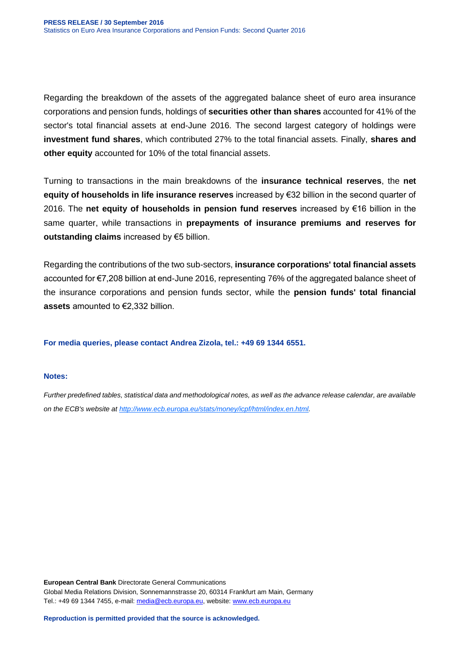Regarding the breakdown of the assets of the aggregated balance sheet of euro area insurance corporations and pension funds, holdings of **securities other than shares** accounted for 41% of the sector's total financial assets at end-June 2016. The second largest category of holdings were **investment fund shares**, which contributed 27% to the total financial assets. Finally, **shares and other equity** accounted for 10% of the total financial assets.

Turning to transactions in the main breakdowns of the **insurance technical reserves**, the **net equity of households in life insurance reserves** increased by €32 billion in the second quarter of 2016. The **net equity of households in pension fund reserves** increased by €16 billion in the same quarter, while transactions in **prepayments of insurance premiums and reserves for outstanding claims** increased by €5 billion.

Regarding the contributions of the two sub-sectors, **insurance corporations' total financial assets** accounted for €7,208 billion at end-June 2016, representing 76% of the aggregated balance sheet of the insurance corporations and pension funds sector, while the **pension funds' total financial assets** amounted to €2,332 billion.

**For media queries, please contact Andrea Zizola, tel.: +49 69 1344 6551.**

#### **Notes:**

*Further predefined tables, statistical data and methodological notes, as well as the advance release calendar, are available on the ECB's website at [http://www.ecb.europa.eu/stats/money/icpf/html/index.en.html.](http://www.ecb.europa.eu/stats/money/icpf/html/index.en.html)*

**European Central Bank** Directorate General Communications Global Media Relations Division, Sonnemannstrasse 20, 60314 Frankfurt am Main, Germany Tel.: +49 69 1344 7455, e-mail: [media@ecb.europa.eu,](mailto:media@ecb.europa.eu) website: [www.ecb.europa.eu](http://www.ecb.europa.eu/)

**Reproduction is permitted provided that the source is acknowledged.**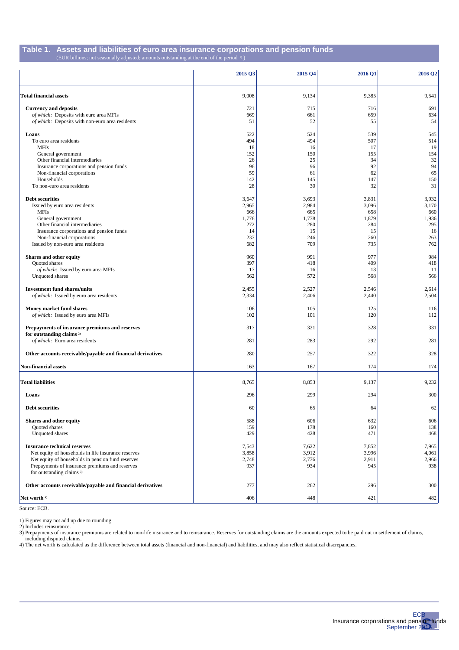#### **Table 1. Assets and liabilities of euro area insurance corporations and pension funds** (EUR billions; not seasonally adjusted; amounts outstanding at the end of the period 1) )

|                                                                        | 2015 Q3    | 2015 04    | 2016 Q1    | 2016 Q2    |
|------------------------------------------------------------------------|------------|------------|------------|------------|
|                                                                        |            |            |            |            |
| <b>Total financial assets</b>                                          | 9,008      | 9,134      | 9,385      | 9,541      |
| <b>Currency and deposits</b>                                           | 721        | 715        | 716        | 691        |
| of which: Deposits with euro area MFIs                                 | 669        | 661        | 659        | 634        |
| of which: Deposits with non-euro area residents                        | 51         | 52         | 55         | 54         |
| Loans                                                                  | 522        | 524        | 539        | 545        |
| To euro area residents                                                 | 494        | 494        | 507        | 514        |
| <b>MFIs</b>                                                            | 18         | 16         | 17         | 19         |
| General government                                                     | 152        | 150        | 155        | 154        |
| Other financial intermediaries                                         | 26         | 25         | 34         | 32         |
| Insurance corporations and pension funds                               | 96         | 96         | 92         | 94         |
| Non-financial corporations<br>Households                               | 59<br>142  | 61<br>145  | 62<br>147  | 65<br>150  |
| To non-euro area residents                                             | 28         | 30         | 32         | 31         |
|                                                                        |            |            |            |            |
| <b>Debt securities</b>                                                 | 3,647      | 3,693      | 3,831      | 3,932      |
| Issued by euro area residents                                          | 2,965      | 2,984      | 3,096      | 3,170      |
| <b>MFIs</b>                                                            | 666        | 665        | 658        | 660        |
| General government                                                     | 1,776      | 1,778      | 1,879      | 1,936      |
| Other financial intermediaries                                         | 272        | 280        | 284        | 295        |
| Insurance corporations and pension funds<br>Non-financial corporations | 14         | 15         | 15         | 16         |
|                                                                        | 237<br>682 | 246<br>709 | 260<br>735 | 263<br>762 |
| Issued by non-euro area residents                                      |            |            |            |            |
| Shares and other equity                                                | 960        | 991        | 977        | 984        |
| <b>Ouoted</b> shares                                                   | 397        | 418        | 409        | 418        |
| of which: Issued by euro area MFIs                                     | 17         | -16        | 13         | 11         |
| Unquoted shares                                                        | 562        | 572        | 568        | 566        |
| <b>Investment fund shares/units</b>                                    | 2,455      | 2,527      | 2,546      | 2,614      |
| of which: Issued by euro area residents                                | 2,334      | 2,406      | 2,440      | 2,504      |
| Money market fund shares                                               | 106        | 105        | 125        | 116        |
| of which: Issued by euro area MFIs                                     | 102        | 101        | 120        | 112        |
| Prepayments of insurance premiums and reserves                         | 317        | 321        | 328        | 331        |
| for outstanding claims <sup>2)</sup>                                   |            |            |            |            |
| of which: Euro area residents                                          | 281        | 283        | 292        | 281        |
| Other accounts receivable/payable and financial derivatives            | 280        | 257        | 322        | 328        |
|                                                                        |            |            |            |            |
| <b>Non-financial assets</b>                                            | 163        | 167        | 174        | 174        |
| <b>Total liabilities</b>                                               | 8,765      | 8,853      | 9,137      | 9,232      |
|                                                                        |            |            |            |            |
| Loans                                                                  | 296        | 299        | 294        | 300        |
| <b>Debt securities</b>                                                 | 60         | 65         | 64         | 62         |
| Shares and other equity                                                | 588        | 606        | 632        | 606        |
| Quoted shares                                                          | 159        | 178        | 160        | 138        |
| Unquoted shares                                                        | 429        | 428        | 471        | 468        |
| <b>Insurance technical reserves</b>                                    | 7,543      | 7,622      | 7,852      | 7,965      |
| Net equity of households in life insurance reserves                    | 3,858      | 3,912      | 3,996      | 4,061      |
| Net equity of households in pension fund reserves                      | 2,748      | 2,776      | 2,911      | 2,966      |
| Prepayments of insurance premiums and reserves                         | 937        | 934        | 945        | 938        |
| for outstanding claims <sup>3)</sup>                                   |            |            |            |            |
|                                                                        |            |            |            |            |
| Other accounts receivable/payable and financial derivatives            | 277        | 262        | 296        | 300        |
| Net worth 4)                                                           | 406        | 448        | 421        | 482        |

Source: ECB.

1) Figures may not add up due to rounding.

2) Includes reinsurance.

3) Prepayments of insurance premiums are related to non-life insurance and to reinsurance. Reserves for outstanding claims are the amounts expected to be paid out in settlement of claims, including disputed claims.

4) The net worth is calculated as the difference between total assets (financial and non-financial) and liabilities, and may also reflect statistical discrepancies.